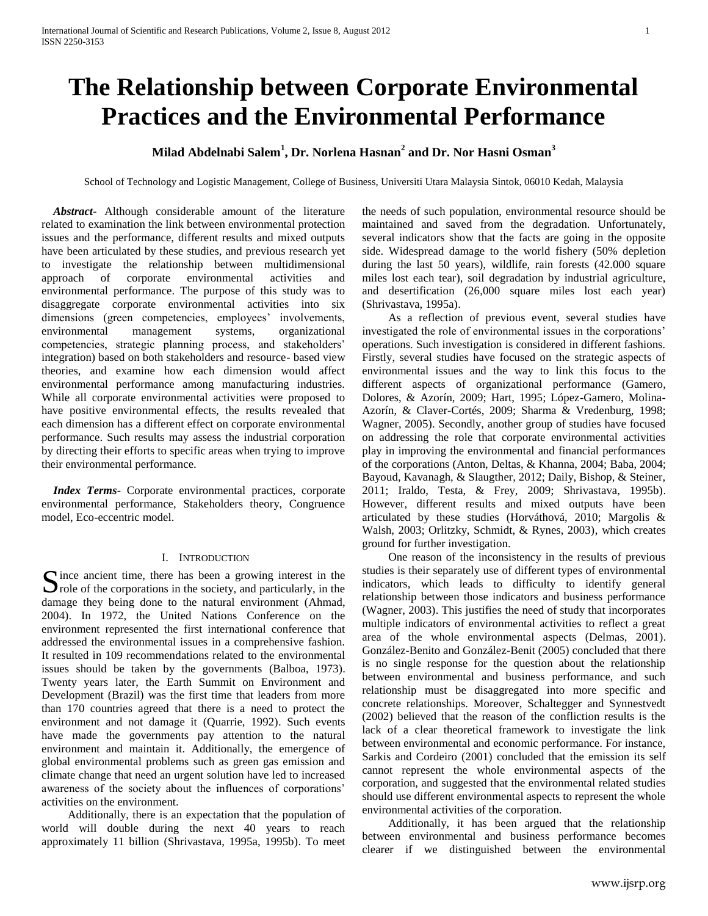# **The Relationship between Corporate Environmental Practices and the Environmental Performance**

## **Milad Abdelnabi Salem<sup>1</sup> , Dr. Norlena Hasnan<sup>2</sup> and Dr. Nor Hasni Osman<sup>3</sup>**

School of Technology and Logistic Management, College of Business, Universiti Utara Malaysia Sintok, 06010 Kedah, Malaysia

 *Abstract***-** Although considerable amount of the literature related to examination the link between environmental protection issues and the performance, different results and mixed outputs have been articulated by these studies, and previous research yet to investigate the relationship between multidimensional approach of corporate environmental activities and environmental performance. The purpose of this study was to disaggregate corporate environmental activities into six dimensions (green competencies, employees' involvements, environmental management systems, organizational competencies, strategic planning process, and stakeholders' integration) based on both stakeholders and resource- based view theories, and examine how each dimension would affect environmental performance among manufacturing industries. While all corporate environmental activities were proposed to have positive environmental effects, the results revealed that each dimension has a different effect on corporate environmental performance. Such results may assess the industrial corporation by directing their efforts to specific areas when trying to improve their environmental performance.

 *Index Terms*- Corporate environmental practices, corporate environmental performance, Stakeholders theory, Congruence model, Eco-eccentric model.

#### I. INTRODUCTION

Since ancient time, there has been a growing interest in the role of the corporations in the society, and particularly, in the  $\sum$  role of the corporations in the society, and particularly, in the damage they being done to the natural environment (Ahmad, 2004). In 1972, the United Nations Conference on the environment represented the first international conference that addressed the environmental issues in a comprehensive fashion. It resulted in 109 recommendations related to the environmental issues should be taken by the governments (Balboa, 1973). Twenty years later, the Earth Summit on Environment and Development (Brazil) was the first time that leaders from more than 170 countries agreed that there is a need to protect the environment and not damage it (Quarrie, 1992). Such events have made the governments pay attention to the natural environment and maintain it. Additionally, the emergence of global environmental problems such as green gas emission and climate change that need an urgent solution have led to increased awareness of the society about the influences of corporations' activities on the environment.

 Additionally, there is an expectation that the population of world will double during the next 40 years to reach approximately 11 billion (Shrivastava, 1995a, 1995b). To meet the needs of such population, environmental resource should be maintained and saved from the degradation. Unfortunately, several indicators show that the facts are going in the opposite side. Widespread damage to the world fishery (50% depletion during the last 50 years), wildlife, rain forests (42.000 square miles lost each tear), soil degradation by industrial agriculture, and desertification (26,000 square miles lost each year) (Shrivastava, 1995a).

 As a reflection of previous event, several studies have investigated the role of environmental issues in the corporations' operations. Such investigation is considered in different fashions. Firstly, several studies have focused on the strategic aspects of environmental issues and the way to link this focus to the different aspects of organizational performance (Gamero, Dolores, & Azorín, 2009; Hart, 1995; López-Gamero, Molina-Azorín, & Claver-Cortés, 2009; Sharma & Vredenburg, 1998; Wagner, 2005). Secondly, another group of studies have focused on addressing the role that corporate environmental activities play in improving the environmental and financial performances of the corporations (Anton, Deltas, & Khanna, 2004; Baba, 2004; Bayoud, Kavanagh, & Slaugther, 2012; Daily, Bishop, & Steiner, 2011; Iraldo, Testa, & Frey, 2009; Shrivastava, 1995b). However, different results and mixed outputs have been articulated by these studies (Horváthová, 2010; Margolis & Walsh, 2003; Orlitzky, Schmidt, & Rynes, 2003), which creates ground for further investigation.

 One reason of the inconsistency in the results of previous studies is their separately use of different types of environmental indicators, which leads to difficulty to identify general relationship between those indicators and business performance (Wagner, 2003). This justifies the need of study that incorporates multiple indicators of environmental activities to reflect a great area of the whole environmental aspects (Delmas, 2001). González-Benito and González-Benit (2005) concluded that there is no single response for the question about the relationship between environmental and business performance, and such relationship must be disaggregated into more specific and concrete relationships. Moreover, Schaltegger and Synnestvedt (2002) believed that the reason of the confliction results is the lack of a clear theoretical framework to investigate the link between environmental and economic performance. For instance, Sarkis and Cordeiro (2001) concluded that the emission its self cannot represent the whole environmental aspects of the corporation, and suggested that the environmental related studies should use different environmental aspects to represent the whole environmental activities of the corporation.

 Additionally, it has been argued that the relationship between environmental and business performance becomes clearer if we distinguished between the environmental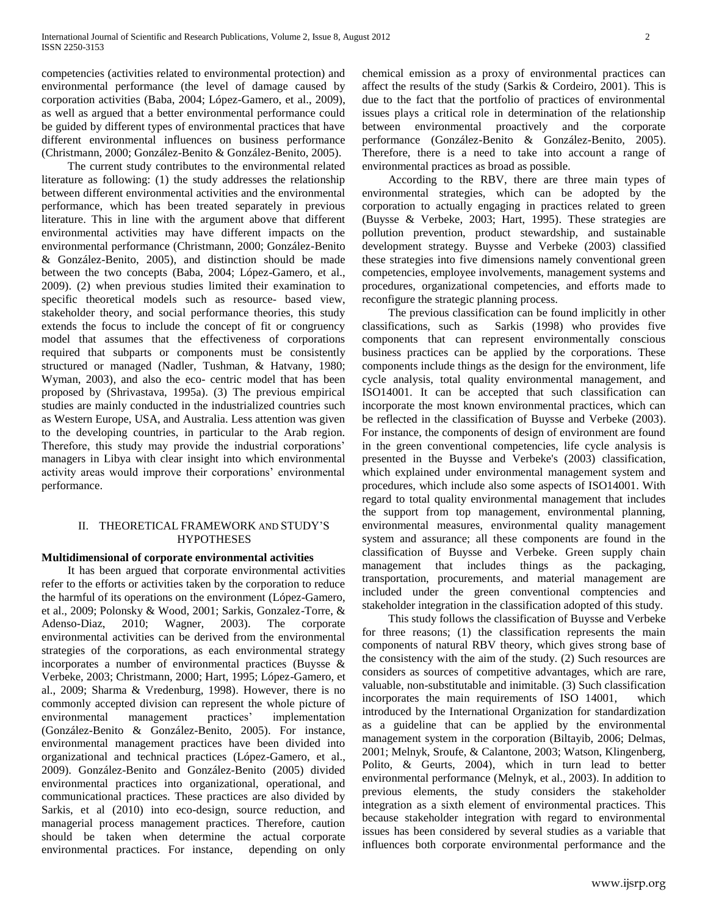competencies (activities related to environmental protection) and environmental performance (the level of damage caused by corporation activities (Baba, 2004; López-Gamero, et al., 2009), as well as argued that a better environmental performance could be guided by different types of environmental practices that have different environmental influences on business performance (Christmann, 2000; González-Benito & González-Benito, 2005).

 The current study contributes to the environmental related literature as following: (1) the study addresses the relationship between different environmental activities and the environmental performance, which has been treated separately in previous literature. This in line with the argument above that different environmental activities may have different impacts on the environmental performance (Christmann, 2000; González-Benito & González-Benito, 2005), and distinction should be made between the two concepts (Baba, 2004; López-Gamero, et al., 2009). (2) when previous studies limited their examination to specific theoretical models such as resource- based view, stakeholder theory, and social performance theories, this study extends the focus to include the concept of fit or congruency model that assumes that the effectiveness of corporations required that subparts or components must be consistently structured or managed (Nadler, Tushman, & Hatvany, 1980; Wyman, 2003), and also the eco- centric model that has been proposed by (Shrivastava, 1995a). (3) The previous empirical studies are mainly conducted in the industrialized countries such as Western Europe, USA, and Australia. Less attention was given to the developing countries, in particular to the Arab region. Therefore, this study may provide the industrial corporations' managers in Libya with clear insight into which environmental activity areas would improve their corporations' environmental performance.

## II. THEORETICAL FRAMEWORK AND STUDY'S **HYPOTHESES**

## **Multidimensional of corporate environmental activities**

 It has been argued that corporate environmental activities refer to the efforts or activities taken by the corporation to reduce the harmful of its operations on the environment (López-Gamero, et al., 2009; Polonsky & Wood, 2001; Sarkis, Gonzalez-Torre, & Adenso-Diaz, 2010; Wagner, 2003). The corporate environmental activities can be derived from the environmental strategies of the corporations, as each environmental strategy incorporates a number of environmental practices (Buysse & Verbeke, 2003; Christmann, 2000; Hart, 1995; López-Gamero, et al., 2009; Sharma & Vredenburg, 1998). However, there is no commonly accepted division can represent the whole picture of environmental management practices' implementation (González-Benito & González-Benito, 2005). For instance, environmental management practices have been divided into organizational and technical practices (López-Gamero, et al., 2009). González-Benito and González-Benito (2005) divided environmental practices into organizational, operational, and communicational practices. These practices are also divided by Sarkis, et al (2010) into eco-design, source reduction, and managerial process management practices. Therefore, caution should be taken when determine the actual corporate environmental practices. For instance, depending on only chemical emission as a proxy of environmental practices can affect the results of the study (Sarkis & Cordeiro, 2001). This is due to the fact that the portfolio of practices of environmental issues plays a critical role in determination of the relationship between environmental proactively and the corporate performance (González-Benito & González-Benito, 2005). Therefore, there is a need to take into account a range of environmental practices as broad as possible.

 According to the RBV, there are three main types of environmental strategies, which can be adopted by the corporation to actually engaging in practices related to green (Buysse & Verbeke, 2003; Hart, 1995). These strategies are pollution prevention, product stewardship, and sustainable development strategy. Buysse and Verbeke (2003) classified these strategies into five dimensions namely conventional green competencies, employee involvements, management systems and procedures, organizational competencies, and efforts made to reconfigure the strategic planning process.

 The previous classification can be found implicitly in other classifications, such as Sarkis (1998) who provides five components that can represent environmentally conscious business practices can be applied by the corporations. These components include things as the design for the environment, life cycle analysis, total quality environmental management, and ISO14001. It can be accepted that such classification can incorporate the most known environmental practices, which can be reflected in the classification of Buysse and Verbeke (2003). For instance, the components of design of environment are found in the green conventional competencies, life cycle analysis is presented in the Buysse and Verbeke's (2003) classification, which explained under environmental management system and procedures, which include also some aspects of ISO14001. With regard to total quality environmental management that includes the support from top management, environmental planning, environmental measures, environmental quality management system and assurance; all these components are found in the classification of Buysse and Verbeke. Green supply chain management that includes things as the packaging, transportation, procurements, and material management are included under the green conventional comptencies and stakeholder integration in the classification adopted of this study.

 This study follows the classification of Buysse and Verbeke for three reasons; (1) the classification represents the main components of natural RBV theory, which gives strong base of the consistency with the aim of the study. (2) Such resources are considers as sources of competitive advantages, which are rare, valuable, non-substitutable and inimitable. (3) Such classification incorporates the main requirements of ISO 14001, which introduced by the International Organization for standardization as a guideline that can be applied by the environmental management system in the corporation (Biltayib, 2006; Delmas, 2001; Melnyk, Sroufe, & Calantone, 2003; Watson, Klingenberg, Polito, & Geurts, 2004), which in turn lead to better environmental performance (Melnyk, et al., 2003). In addition to previous elements, the study considers the stakeholder integration as a sixth element of environmental practices. This because stakeholder integration with regard to environmental issues has been considered by several studies as a variable that influences both corporate environmental performance and the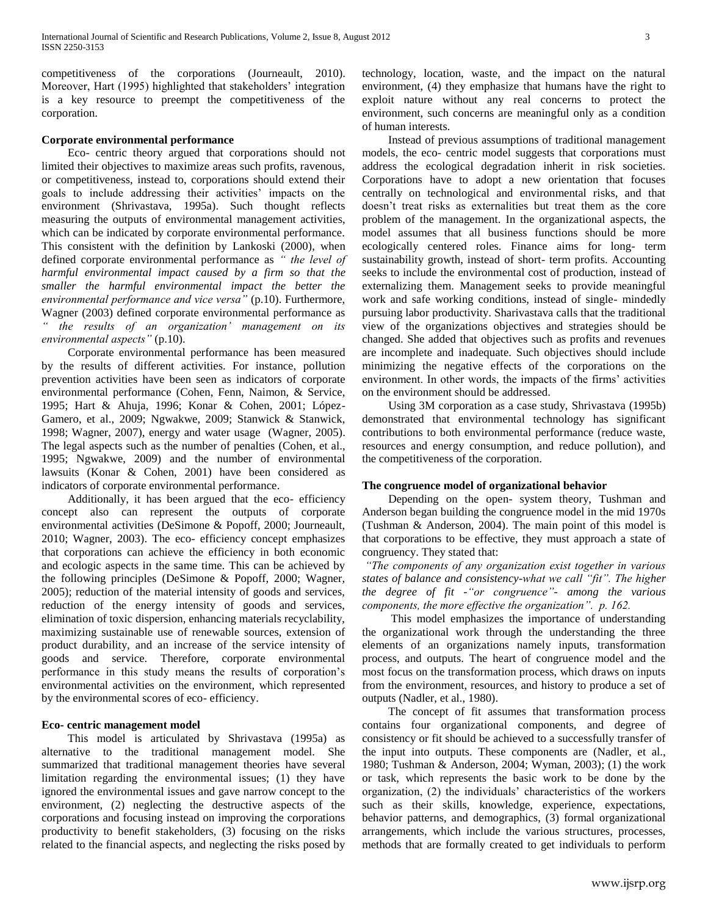competitiveness of the corporations (Journeault, 2010). Moreover, Hart (1995) highlighted that stakeholders' integration is a key resource to preempt the competitiveness of the corporation.

#### **Corporate environmental performance**

 Eco- centric theory argued that corporations should not limited their objectives to maximize areas such profits, ravenous, or competitiveness, instead to, corporations should extend their goals to include addressing their activities' impacts on the environment (Shrivastava, 1995a). Such thought reflects measuring the outputs of environmental management activities, which can be indicated by corporate environmental performance. This consistent with the definition by Lankoski (2000), when defined corporate environmental performance as *" the level of harmful environmental impact caused by a firm so that the smaller the harmful environmental impact the better the environmental performance and vice versa"* (p.10). Furthermore, Wagner (2003) defined corporate environmental performance as *" the results of an organization' management on its environmental aspects"* (p.10).

 Corporate environmental performance has been measured by the results of different activities. For instance, pollution prevention activities have been seen as indicators of corporate environmental performance (Cohen, Fenn, Naimon, & Service, 1995; Hart & Ahuja, 1996; Konar & Cohen, 2001; López-Gamero, et al., 2009; Ngwakwe, 2009; Stanwick & Stanwick, 1998; Wagner, 2007), energy and water usage (Wagner, 2005). The legal aspects such as the number of penalties (Cohen, et al., 1995; Ngwakwe, 2009) and the number of environmental lawsuits (Konar & Cohen, 2001) have been considered as indicators of corporate environmental performance.

 Additionally, it has been argued that the eco- efficiency concept also can represent the outputs of corporate environmental activities (DeSimone & Popoff, 2000; Journeault, 2010; Wagner, 2003). The eco- efficiency concept emphasizes that corporations can achieve the efficiency in both economic and ecologic aspects in the same time. This can be achieved by the following principles (DeSimone & Popoff, 2000; Wagner, 2005); reduction of the material intensity of goods and services, reduction of the energy intensity of goods and services, elimination of toxic dispersion, enhancing materials recyclability, maximizing sustainable use of renewable sources, extension of product durability, and an increase of the service intensity of goods and service. Therefore, corporate environmental performance in this study means the results of corporation's environmental activities on the environment, which represented by the environmental scores of eco- efficiency.

## **Eco- centric management model**

 This model is articulated by Shrivastava (1995a) as alternative to the traditional management model. She summarized that traditional management theories have several limitation regarding the environmental issues; (1) they have ignored the environmental issues and gave narrow concept to the environment, (2) neglecting the destructive aspects of the corporations and focusing instead on improving the corporations productivity to benefit stakeholders, (3) focusing on the risks related to the financial aspects, and neglecting the risks posed by technology, location, waste, and the impact on the natural environment, (4) they emphasize that humans have the right to exploit nature without any real concerns to protect the environment, such concerns are meaningful only as a condition of human interests.

 Instead of previous assumptions of traditional management models, the eco- centric model suggests that corporations must address the ecological degradation inherit in risk societies. Corporations have to adopt a new orientation that focuses centrally on technological and environmental risks, and that doesn't treat risks as externalities but treat them as the core problem of the management. In the organizational aspects, the model assumes that all business functions should be more ecologically centered roles. Finance aims for long- term sustainability growth, instead of short- term profits. Accounting seeks to include the environmental cost of production, instead of externalizing them. Management seeks to provide meaningful work and safe working conditions, instead of single- mindedly pursuing labor productivity. Sharivastava calls that the traditional view of the organizations objectives and strategies should be changed. She added that objectives such as profits and revenues are incomplete and inadequate. Such objectives should include minimizing the negative effects of the corporations on the environment. In other words, the impacts of the firms' activities on the environment should be addressed.

 Using 3M corporation as a case study, Shrivastava (1995b) demonstrated that environmental technology has significant contributions to both environmental performance (reduce waste, resources and energy consumption, and reduce pollution), and the competitiveness of the corporation.

## **The congruence model of organizational behavior**

 Depending on the open- system theory, Tushman and Anderson began building the congruence model in the mid 1970s (Tushman & Anderson, 2004). The main point of this model is that corporations to be effective, they must approach a state of congruency. They stated that:

*"The components of any organization exist together in various states of balance and consistency-what we call "fit". The higher the degree of fit -"or congruence"- among the various components, the more effective the organization". p. 162.* 

 This model emphasizes the importance of understanding the organizational work through the understanding the three elements of an organizations namely inputs, transformation process, and outputs. The heart of congruence model and the most focus on the transformation process, which draws on inputs from the environment, resources, and history to produce a set of outputs (Nadler, et al., 1980).

 The concept of fit assumes that transformation process contains four organizational components, and degree of consistency or fit should be achieved to a successfully transfer of the input into outputs. These components are (Nadler, et al., 1980; Tushman & Anderson, 2004; Wyman, 2003); (1) the work or task, which represents the basic work to be done by the organization, (2) the individuals' characteristics of the workers such as their skills, knowledge, experience, expectations, behavior patterns, and demographics, (3) formal organizational arrangements, which include the various structures, processes, methods that are formally created to get individuals to perform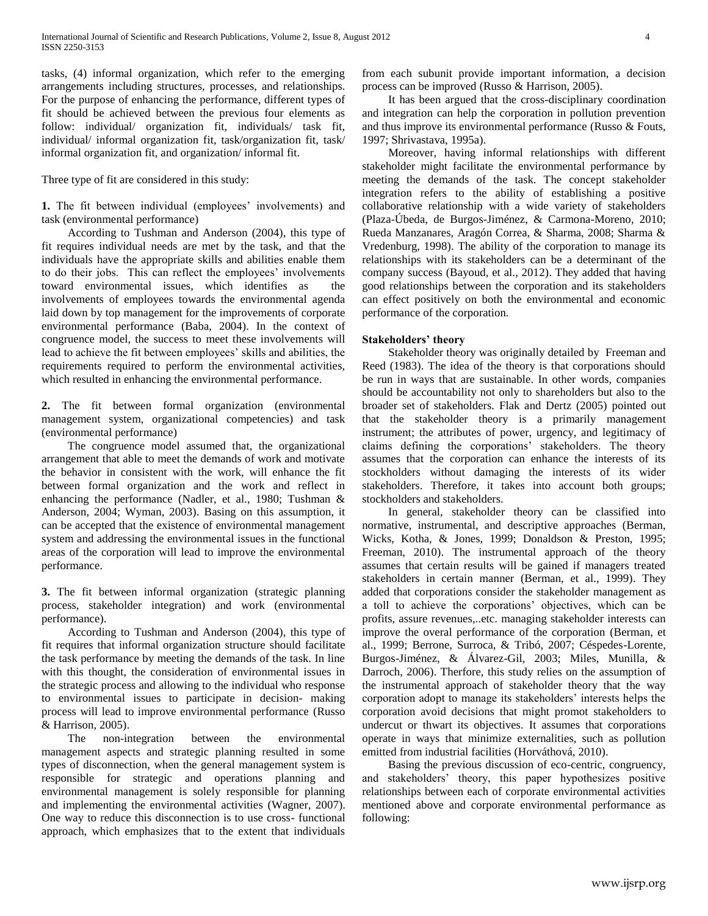tasks, (4) informal organization, which refer to the emerging arrangements including structures, processes, and relationships. For the purpose of enhancing the performance, different types of fit should be achieved between the previous four elements as follow: individual/ organization fit, individuals/ task fit, individual/ informal organization fit, task/organization fit, task/ informal organization fit, and organization/ informal fit.

Three type of fit are considered in this study:

**1.** The fit between individual (employees' involvements) and task (environmental performance)

 According to Tushman and Anderson (2004), this type of fit requires individual needs are met by the task, and that the individuals have the appropriate skills and abilities enable them to do their jobs. This can reflect the employees' involvements toward environmental issues, which identifies as the involvements of employees towards the environmental agenda laid down by top management for the improvements of corporate environmental performance (Baba, 2004). In the context of congruence model, the success to meet these involvements will lead to achieve the fit between employees' skills and abilities, the requirements required to perform the environmental activities, which resulted in enhancing the environmental performance.

**2.** The fit between formal organization (environmental management system, organizational competencies) and task (environmental performance)

 The congruence model assumed that, the organizational arrangement that able to meet the demands of work and motivate the behavior in consistent with the work, will enhance the fit between formal organization and the work and reflect in enhancing the performance (Nadler, et al., 1980; Tushman & Anderson, 2004; Wyman, 2003). Basing on this assumption, it can be accepted that the existence of environmental management system and addressing the environmental issues in the functional areas of the corporation will lead to improve the environmental performance.

**3.** The fit between informal organization (strategic planning process, stakeholder integration) and work (environmental performance).

 According to Tushman and Anderson (2004), this type of fit requires that informal organization structure should facilitate the task performance by meeting the demands of the task. In line with this thought, the consideration of environmental issues in the strategic process and allowing to the individual who response to environmental issues to participate in decision- making process will lead to improve environmental performance (Russo & Harrison, 2005).

 The non-integration between the environmental management aspects and strategic planning resulted in some types of disconnection, when the general management system is responsible for strategic and operations planning and environmental management is solely responsible for planning and implementing the environmental activities (Wagner, 2007). One way to reduce this disconnection is to use cross- functional approach, which emphasizes that to the extent that individuals

from each subunit provide important information, a decision process can be improved (Russo & Harrison, 2005).

 It has been argued that the cross-disciplinary coordination and integration can help the corporation in pollution prevention and thus improve its environmental performance (Russo & Fouts, 1997; Shrivastava, 1995a).

 Moreover, having informal relationships with different stakeholder might facilitate the environmental performance by meeting the demands of the task. The concept stakeholder integration refers to the ability of establishing a positive collaborative relationship with a wide variety of stakeholders (Plaza-Úbeda, de Burgos-Jiménez, & Carmona-Moreno, 2010; Rueda Manzanares, Aragón Correa, & Sharma, 2008; Sharma & Vredenburg, 1998). The ability of the corporation to manage its relationships with its stakeholders can be a determinant of the company success (Bayoud, et al., 2012). They added that having good relationships between the corporation and its stakeholders can effect positively on both the environmental and economic performance of the corporation.

## **Stakeholders' theory**

 Stakeholder theory was originally detailed by Freeman and Reed (1983). The idea of the theory is that corporations should be run in ways that are sustainable. In other words, companies should be accountability not only to shareholders but also to the broader set of stakeholders. Flak and Dertz (2005) pointed out that the stakeholder theory is a primarily management instrument; the attributes of power, urgency, and legitimacy of claims defining the corporations' stakeholders. The theory assumes that the corporation can enhance the interests of its stockholders without damaging the interests of its wider stakeholders. Therefore, it takes into account both groups; stockholders and stakeholders.

 In general, stakeholder theory can be classified into normative, instrumental, and descriptive approaches (Berman, Wicks, Kotha, & Jones, 1999; Donaldson & Preston, 1995; Freeman, 2010). The instrumental approach of the theory assumes that certain results will be gained if managers treated stakeholders in certain manner (Berman, et al., 1999). They added that corporations consider the stakeholder management as a toll to achieve the corporations' objectives, which can be profits, assure revenues,..etc. managing stakeholder interests can improve the overal performance of the corporation (Berman, et al., 1999; Berrone, Surroca, & Tribó, 2007; Céspedes-Lorente, Burgos-Jiménez, & Álvarez-Gil, 2003; Miles, Munilla, & Darroch, 2006). Therfore, this study relies on the assumption of the instrumental approach of stakeholder theory that the way corporation adopt to manage its stakeholders' interests helps the corporation avoid decisions that might promot stakeholders to undercut or thwart its objectives. It assumes that corporations operate in ways that minimize externalities, such as pollution emitted from industrial facilities (Horváthová, 2010).

 Basing the previous discussion of eco-centric, congruency, and stakeholders' theory, this paper hypothesizes positive relationships between each of corporate environmental activities mentioned above and corporate environmental performance as following: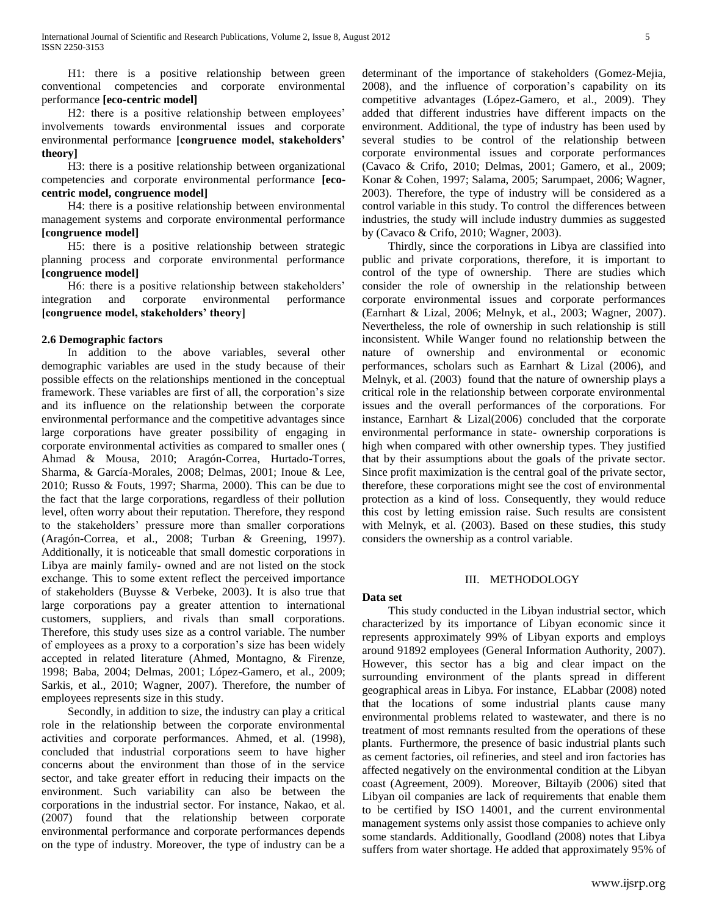H1: there is a positive relationship between green conventional competencies and corporate environmental performance **[eco-centric model]**

 H2: there is a positive relationship between employees' involvements towards environmental issues and corporate environmental performance **[congruence model, stakeholders' theory]**

 H3: there is a positive relationship between organizational competencies and corporate environmental performance **[ecocentric model, congruence model]**

 H4: there is a positive relationship between environmental management systems and corporate environmental performance **[congruence model]**

 H5: there is a positive relationship between strategic planning process and corporate environmental performance **[congruence model]**

 H6: there is a positive relationship between stakeholders' integration and corporate environmental performance **[congruence model, stakeholders' theory]**

## **2.6 Demographic factors**

 In addition to the above variables, several other demographic variables are used in the study because of their possible effects on the relationships mentioned in the conceptual framework. These variables are first of all, the corporation's size and its influence on the relationship between the corporate environmental performance and the competitive advantages since large corporations have greater possibility of engaging in corporate environmental activities as compared to smaller ones ( Ahmad & Mousa, 2010; Aragón-Correa, Hurtado-Torres, Sharma, & García-Morales, 2008; Delmas, 2001; Inoue & Lee, 2010; Russo & Fouts, 1997; Sharma, 2000). This can be due to the fact that the large corporations, regardless of their pollution level, often worry about their reputation. Therefore, they respond to the stakeholders' pressure more than smaller corporations (Aragón-Correa, et al., 2008; Turban & Greening, 1997). Additionally, it is noticeable that small domestic corporations in Libya are mainly family- owned and are not listed on the stock exchange. This to some extent reflect the perceived importance of stakeholders (Buysse & Verbeke, 2003). It is also true that large corporations pay a greater attention to international customers, suppliers, and rivals than small corporations. Therefore, this study uses size as a control variable. The number of employees as a proxy to a corporation's size has been widely accepted in related literature (Ahmed, Montagno, & Firenze, 1998; Baba, 2004; Delmas, 2001; López-Gamero, et al., 2009; Sarkis, et al., 2010; Wagner, 2007). Therefore, the number of employees represents size in this study.

 Secondly, in addition to size, the industry can play a critical role in the relationship between the corporate environmental activities and corporate performances. Ahmed, et al. (1998), concluded that industrial corporations seem to have higher concerns about the environment than those of in the service sector, and take greater effort in reducing their impacts on the environment. Such variability can also be between the corporations in the industrial sector. For instance, Nakao, et al. (2007) found that the relationship between corporate environmental performance and corporate performances depends on the type of industry. Moreover, the type of industry can be a

determinant of the importance of stakeholders (Gomez-Mejia, 2008), and the influence of corporation's capability on its competitive advantages (López-Gamero, et al., 2009). They added that different industries have different impacts on the environment. Additional, the type of industry has been used by several studies to be control of the relationship between corporate environmental issues and corporate performances (Cavaco & Crifo, 2010; Delmas, 2001; Gamero, et al., 2009; Konar & Cohen, 1997; Salama, 2005; Sarumpaet, 2006; Wagner, 2003). Therefore, the type of industry will be considered as a control variable in this study. To control the differences between industries, the study will include industry dummies as suggested by (Cavaco & Crifo, 2010; Wagner, 2003).

 Thirdly, since the corporations in Libya are classified into public and private corporations, therefore, it is important to control of the type of ownership. There are studies which consider the role of ownership in the relationship between corporate environmental issues and corporate performances (Earnhart & Lizal, 2006; Melnyk, et al., 2003; Wagner, 2007). Nevertheless, the role of ownership in such relationship is still inconsistent. While Wanger found no relationship between the nature of ownership and environmental or economic performances, scholars such as Earnhart & Lizal (2006), and Melnyk, et al. (2003) found that the nature of ownership plays a critical role in the relationship between corporate environmental issues and the overall performances of the corporations. For instance, Earnhart & Lizal(2006) concluded that the corporate environmental performance in state- ownership corporations is high when compared with other ownership types. They justified that by their assumptions about the goals of the private sector. Since profit maximization is the central goal of the private sector, therefore, these corporations might see the cost of environmental protection as a kind of loss. Consequently, they would reduce this cost by letting emission raise. Such results are consistent with Melnyk, et al. (2003). Based on these studies, this study considers the ownership as a control variable.

## III. METHODOLOGY

## **Data set**

 This study conducted in the Libyan industrial sector, which characterized by its importance of Libyan economic since it represents approximately 99% of Libyan exports and employs around 91892 employees (General Information Authority, 2007). However, this sector has a big and clear impact on the surrounding environment of the plants spread in different geographical areas in Libya. For instance, ELabbar (2008) noted that the locations of some industrial plants cause many environmental problems related to wastewater, and there is no treatment of most remnants resulted from the operations of these plants. Furthermore, the presence of basic industrial plants such as cement factories, oil refineries, and steel and iron factories has affected negatively on the environmental condition at the Libyan coast (Agreement, 2009). Moreover, Biltayib (2006) sited that Libyan oil companies are lack of requirements that enable them to be certified by ISO 14001, and the current environmental management systems only assist those companies to achieve only some standards. Additionally, Goodland (2008) notes that Libya suffers from water shortage. He added that approximately 95% of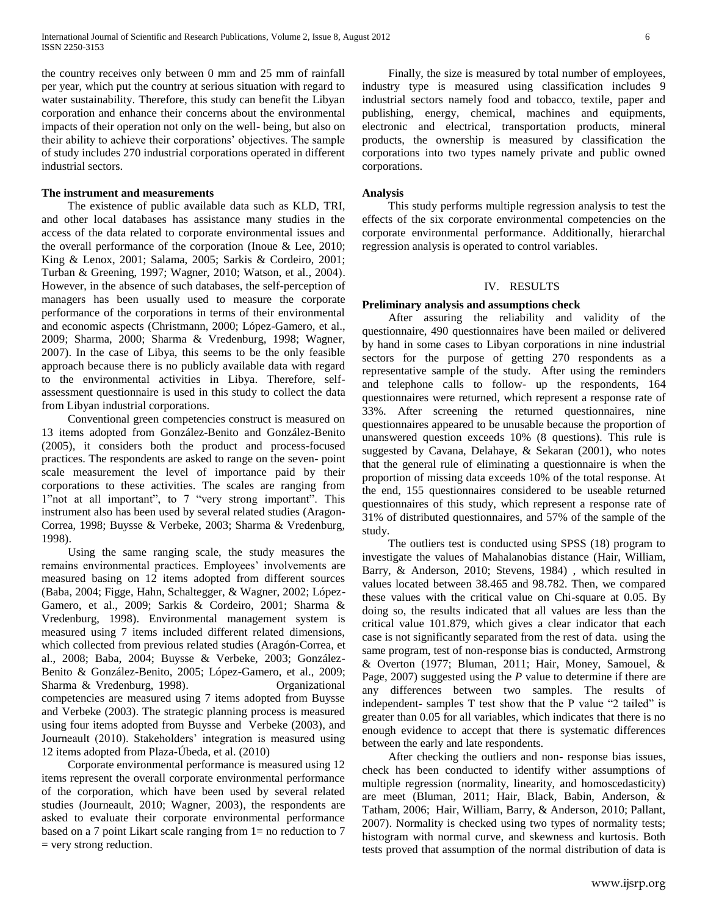the country receives only between 0 mm and 25 mm of rainfall per year, which put the country at serious situation with regard to water sustainability. Therefore, this study can benefit the Libyan corporation and enhance their concerns about the environmental impacts of their operation not only on the well- being, but also on their ability to achieve their corporations' objectives. The sample of study includes 270 industrial corporations operated in different industrial sectors.

#### **The instrument and measurements**

 The existence of public available data such as KLD, TRI, and other local databases has assistance many studies in the access of the data related to corporate environmental issues and the overall performance of the corporation (Inoue & Lee, 2010; King & Lenox, 2001; Salama, 2005; Sarkis & Cordeiro, 2001; Turban & Greening, 1997; Wagner, 2010; Watson, et al., 2004). However, in the absence of such databases, the self-perception of managers has been usually used to measure the corporate performance of the corporations in terms of their environmental and economic aspects (Christmann, 2000; López-Gamero, et al., 2009; Sharma, 2000; Sharma & Vredenburg, 1998; Wagner, 2007). In the case of Libya, this seems to be the only feasible approach because there is no publicly available data with regard to the environmental activities in Libya. Therefore, selfassessment questionnaire is used in this study to collect the data from Libyan industrial corporations.

 Conventional green competencies construct is measured on 13 items adopted from González-Benito and González-Benito (2005), it considers both the product and process-focused practices. The respondents are asked to range on the seven- point scale measurement the level of importance paid by their corporations to these activities. The scales are ranging from 1"not at all important", to 7 "very strong important". This instrument also has been used by several related studies (Aragon-Correa, 1998; Buysse & Verbeke, 2003; Sharma & Vredenburg, 1998).

 Using the same ranging scale, the study measures the remains environmental practices. Employees' involvements are measured basing on 12 items adopted from different sources (Baba, 2004; Figge, Hahn, Schaltegger, & Wagner, 2002; López-Gamero, et al., 2009; Sarkis & Cordeiro, 2001; Sharma & Vredenburg, 1998). Environmental management system is measured using 7 items included different related dimensions, which collected from previous related studies (Aragón-Correa, et al., 2008; Baba, 2004; Buysse & Verbeke, 2003; González-Benito & González-Benito, 2005; López-Gamero, et al., 2009; Sharma & Vredenburg, 1998). Organizational competencies are measured using 7 items adopted from Buysse and Verbeke (2003). The strategic planning process is measured using four items adopted from Buysse and Verbeke (2003), and Journeault (2010). Stakeholders' integration is measured using 12 items adopted from Plaza-Úbeda, et al. (2010)

 Corporate environmental performance is measured using 12 items represent the overall corporate environmental performance of the corporation, which have been used by several related studies (Journeault, 2010; Wagner, 2003), the respondents are asked to evaluate their corporate environmental performance based on a 7 point Likart scale ranging from 1= no reduction to 7 = very strong reduction.

 Finally, the size is measured by total number of employees, industry type is measured using classification includes 9 industrial sectors namely food and tobacco, textile, paper and publishing, energy, chemical, machines and equipments, electronic and electrical, transportation products, mineral products, the ownership is measured by classification the corporations into two types namely private and public owned corporations.

#### **Analysis**

 This study performs multiple regression analysis to test the effects of the six corporate environmental competencies on the corporate environmental performance. Additionally, hierarchal regression analysis is operated to control variables.

## IV. RESULTS

#### **Preliminary analysis and assumptions check**

 After assuring the reliability and validity of the questionnaire, 490 questionnaires have been mailed or delivered by hand in some cases to Libyan corporations in nine industrial sectors for the purpose of getting 270 respondents as a representative sample of the study. After using the reminders and telephone calls to follow- up the respondents, 164 questionnaires were returned, which represent a response rate of 33%. After screening the returned questionnaires, nine questionnaires appeared to be unusable because the proportion of unanswered question exceeds 10% (8 questions). This rule is suggested by Cavana, Delahaye, & Sekaran (2001), who notes that the general rule of eliminating a questionnaire is when the proportion of missing data exceeds 10% of the total response. At the end, 155 questionnaires considered to be useable returned questionnaires of this study, which represent a response rate of 31% of distributed questionnaires, and 57% of the sample of the study.

 The outliers test is conducted using SPSS (18) program to investigate the values of Mahalanobias distance (Hair, William, Barry, & Anderson, 2010; Stevens, 1984) , which resulted in values located between 38.465 and 98.782. Then, we compared these values with the critical value on Chi-square at 0.05. By doing so, the results indicated that all values are less than the critical value 101.879, which gives a clear indicator that each case is not significantly separated from the rest of data. using the same program, test of non-response bias is conducted, Armstrong & Overton (1977; Bluman, 2011; Hair, Money, Samouel, & Page, 2007) suggested using the *P* value to determine if there are any differences between two samples. The results of independent- samples T test show that the P value "2 tailed" is greater than 0.05 for all variables, which indicates that there is no enough evidence to accept that there is systematic differences between the early and late respondents.

 After checking the outliers and non- response bias issues, check has been conducted to identify wither assumptions of multiple regression (normality, linearity, and homoscedasticity) are meet (Bluman, 2011; Hair, Black, Babin, Anderson, & Tatham, 2006; Hair, William, Barry, & Anderson, 2010; Pallant, 2007). Normality is checked using two types of normality tests; histogram with normal curve, and skewness and kurtosis. Both tests proved that assumption of the normal distribution of data is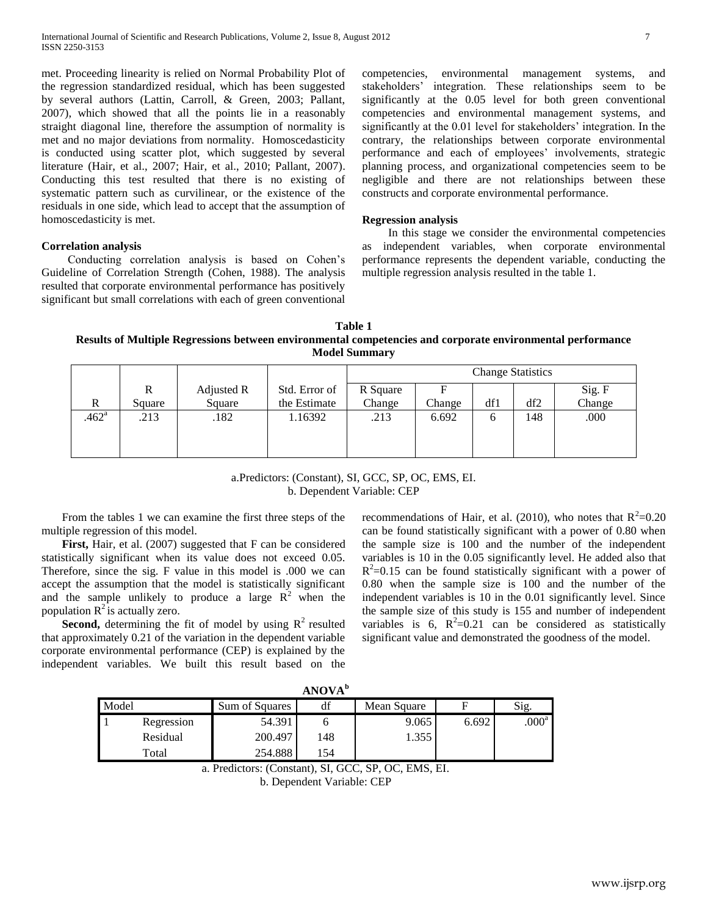met. Proceeding linearity is relied on Normal Probability Plot of the regression standardized residual, which has been suggested by several authors (Lattin, Carroll, & Green, 2003; Pallant, 2007), which showed that all the points lie in a reasonably straight diagonal line, therefore the assumption of normality is met and no major deviations from normality. Homoscedasticity is conducted using scatter plot, which suggested by several literature (Hair, et al., 2007; Hair, et al., 2010; Pallant, 2007). Conducting this test resulted that there is no existing of systematic pattern such as curvilinear, or the existence of the residuals in one side, which lead to accept that the assumption of homoscedasticity is met.

### **Correlation analysis**

 Conducting correlation analysis is based on Cohen's Guideline of Correlation Strength (Cohen, 1988). The analysis resulted that corporate environmental performance has positively significant but small correlations with each of green conventional competencies, environmental management systems, and stakeholders' integration. These relationships seem to be significantly at the 0.05 level for both green conventional competencies and environmental management systems, and significantly at the 0.01 level for stakeholders' integration. In the contrary, the relationships between corporate environmental performance and each of employees' involvements, strategic planning process, and organizational competencies seem to be negligible and there are not relationships between these constructs and corporate environmental performance.

### **Regression analysis**

 In this stage we consider the environmental competencies as independent variables, when corporate environmental performance represents the dependent variable, conducting the multiple regression analysis resulted in the table 1.

**Table 1 Results of Multiple Regressions between environmental competencies and corporate environmental performance Model Summary**

| Sig. F |
|--------|
| Change |
| .000   |
|        |
|        |
|        |

## a.Predictors: (Constant), SI, GCC, SP, OC, EMS, EI. b. Dependent Variable: CEP

 From the tables 1 we can examine the first three steps of the multiple regression of this model.

 **First,** Hair, et al. (2007) suggested that F can be considered statistically significant when its value does not exceed 0.05. Therefore, since the sig. F value in this model is .000 we can accept the assumption that the model is statistically significant and the sample unlikely to produce a large  $R^2$  when the population  $R^2$  is actually zero.

**Second,** determining the fit of model by using  $R^2$  resulted that approximately 0.21 of the variation in the dependent variable corporate environmental performance (CEP) is explained by the independent variables. We built this result based on the

recommendations of Hair, et al. (2010), who notes that  $R^2$ =0.20 can be found statistically significant with a power of 0.80 when the sample size is 100 and the number of the independent variables is 10 in the 0.05 significantly level. He added also that  $R^2$ =0.15 can be found statistically significant with a power of 0.80 when the sample size is 100 and the number of the independent variables is 10 in the 0.01 significantly level. Since the sample size of this study is 155 and number of independent variables is 6,  $R^2=0.21$  can be considered as statistically significant value and demonstrated the goodness of the model.

| ANOVA" |            |                |     |             |       |                     |  |  |  |  |
|--------|------------|----------------|-----|-------------|-------|---------------------|--|--|--|--|
| Model  |            | Sum of Squares | df  | Mean Square |       | Sig.                |  |  |  |  |
|        | Regression | 54.391         |     | 9.065       | 6.692 | $.000^{\mathrm{a}}$ |  |  |  |  |
|        | Residual   | 200.497        | 148 | 1.355       |       |                     |  |  |  |  |
|        | Total      | 254.888        | 54  |             |       |                     |  |  |  |  |

**ANOVA<sup>b</sup>**

a. Predictors: (Constant), SI, GCC, SP, OC, EMS, EI.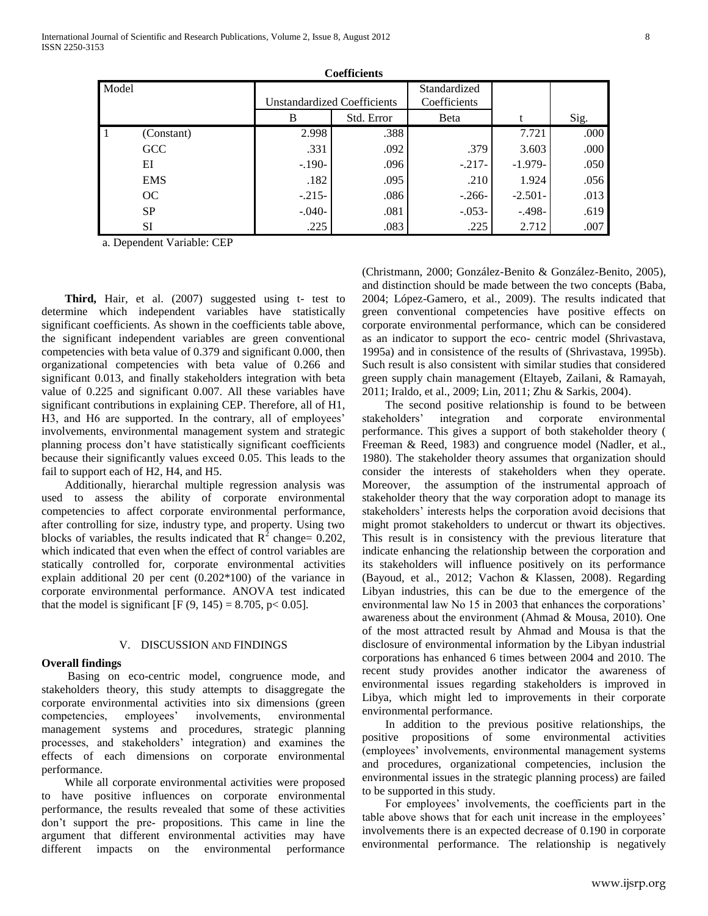|              | Coemcients |          |                             |                              |           |      |  |  |  |  |  |  |
|--------------|------------|----------|-----------------------------|------------------------------|-----------|------|--|--|--|--|--|--|
| Model        |            |          | Unstandardized Coefficients | Standardized<br>Coefficients |           |      |  |  |  |  |  |  |
|              |            | B        | Std. Error                  | Beta                         |           | Sig. |  |  |  |  |  |  |
| $\mathbf{1}$ | (Constant) | 2.998    | .388                        |                              | 7.721     | .000 |  |  |  |  |  |  |
|              | <b>GCC</b> | .331     | .092                        | .379                         | 3.603     | .000 |  |  |  |  |  |  |
|              | EI         | $-.190-$ | .096                        | $-.217-$                     | $-1.979-$ | .050 |  |  |  |  |  |  |
|              | <b>EMS</b> | .182     | .095                        | .210                         | 1.924     | .056 |  |  |  |  |  |  |
|              | OC         | $-.215-$ | .086                        | $-.266-$                     | $-2.501-$ | .013 |  |  |  |  |  |  |
|              | <b>SP</b>  | $-.040-$ | .081                        | $-.053-$                     | $-.498-$  | .619 |  |  |  |  |  |  |
|              | SI         | .225     | .083                        | .225                         | 2.712     | .007 |  |  |  |  |  |  |

**Coefficients**

a. Dependent Variable: CEP

 **Third,** Hair, et al. (2007) suggested using t- test to determine which independent variables have statistically significant coefficients. As shown in the coefficients table above, the significant independent variables are green conventional competencies with beta value of 0.379 and significant 0.000, then organizational competencies with beta value of 0.266 and significant 0.013, and finally stakeholders integration with beta value of 0.225 and significant 0.007. All these variables have significant contributions in explaining CEP. Therefore, all of H1, H3, and H6 are supported. In the contrary, all of employees' involvements, environmental management system and strategic planning process don't have statistically significant coefficients because their significantly values exceed 0.05. This leads to the fail to support each of H2, H4, and H5.

Additionally, hierarchal multiple regression analysis was used to assess the ability of corporate environmental competencies to affect corporate environmental performance, after controlling for size, industry type, and property. Using two blocks of variables, the results indicated that  $R^2$  change= 0.202, which indicated that even when the effect of control variables are statically controlled for, corporate environmental activities explain additional 20 per cent (0.202\*100) of the variance in corporate environmental performance. ANOVA test indicated that the model is significant [F  $(9, 145) = 8.705$ , p< 0.05].

#### V. DISCUSSION AND FINDINGS

#### **Overall findings**

 Basing on eco-centric model, congruence mode, and stakeholders theory, this study attempts to disaggregate the corporate environmental activities into six dimensions (green competencies, employees' involvements, environmental management systems and procedures, strategic planning processes, and stakeholders' integration) and examines the effects of each dimensions on corporate environmental performance.

While all corporate environmental activities were proposed to have positive influences on corporate environmental performance, the results revealed that some of these activities don't support the pre- propositions. This came in line the argument that different environmental activities may have different impacts on the environmental performance

(Christmann, 2000; González-Benito & González-Benito, 2005), and distinction should be made between the two concepts (Baba, 2004; López-Gamero, et al., 2009). The results indicated that green conventional competencies have positive effects on corporate environmental performance, which can be considered as an indicator to support the eco- centric model (Shrivastava, 1995a) and in consistence of the results of (Shrivastava, 1995b). Such result is also consistent with similar studies that considered green supply chain management (Eltayeb, Zailani, & Ramayah, 2011; Iraldo, et al., 2009; Lin, 2011; Zhu & Sarkis, 2004).

The second positive relationship is found to be between stakeholders' integration and corporate environmental performance. This gives a support of both stakeholder theory ( Freeman & Reed, 1983) and congruence model (Nadler, et al., 1980). The stakeholder theory assumes that organization should consider the interests of stakeholders when they operate. Moreover, the assumption of the instrumental approach of stakeholder theory that the way corporation adopt to manage its stakeholders' interests helps the corporation avoid decisions that might promot stakeholders to undercut or thwart its objectives. This result is in consistency with the previous literature that indicate enhancing the relationship between the corporation and its stakeholders will influence positively on its performance (Bayoud, et al., 2012; Vachon & Klassen, 2008). Regarding Libyan industries, this can be due to the emergence of the environmental law No 15 in 2003 that enhances the corporations' awareness about the environment (Ahmad & Mousa, 2010). One of the most attracted result by Ahmad and Mousa is that the disclosure of environmental information by the Libyan industrial corporations has enhanced 6 times between 2004 and 2010. The recent study provides another indicator the awareness of environmental issues regarding stakeholders is improved in Libya, which might led to improvements in their corporate environmental performance.

In addition to the previous positive relationships, the positive propositions of some environmental activities (employees' involvements, environmental management systems and procedures, organizational competencies, inclusion the environmental issues in the strategic planning process) are failed to be supported in this study.

For employees' involvements, the coefficients part in the table above shows that for each unit increase in the employees' involvements there is an expected decrease of 0.190 in corporate environmental performance. The relationship is negatively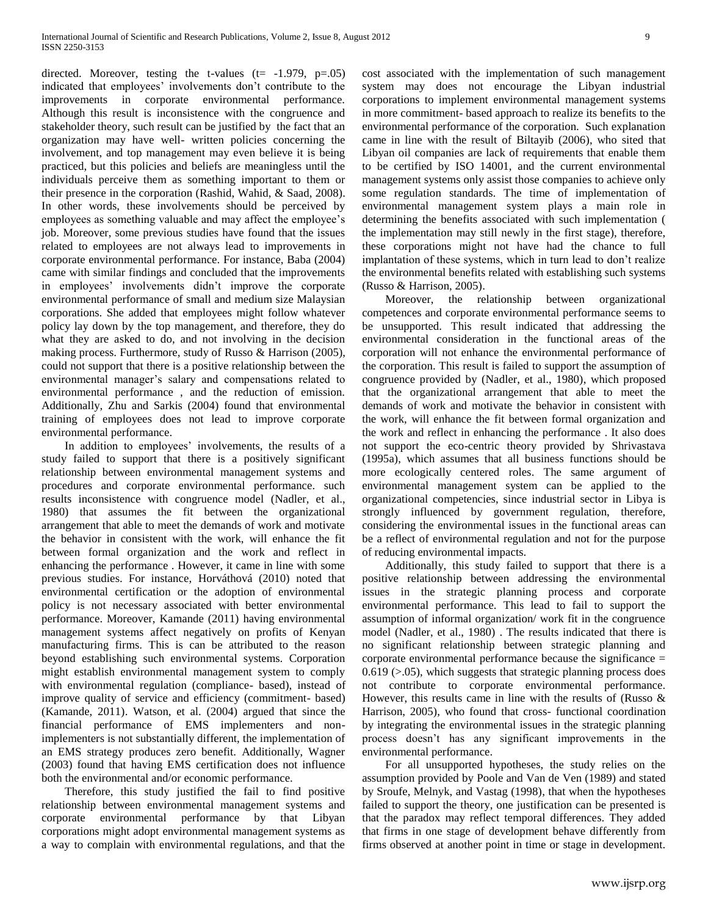directed. Moreover, testing the t-values  $(t= -1.979, p=.05)$ indicated that employees' involvements don't contribute to the improvements in corporate environmental performance. Although this result is inconsistence with the congruence and stakeholder theory, such result can be justified by the fact that an organization may have well- written policies concerning the involvement, and top management may even believe it is being practiced, but this policies and beliefs are meaningless until the individuals perceive them as something important to them or their presence in the corporation (Rashid, Wahid, & Saad, 2008). In other words, these involvements should be perceived by employees as something valuable and may affect the employee's job. Moreover, some previous studies have found that the issues related to employees are not always lead to improvements in corporate environmental performance. For instance, Baba (2004) came with similar findings and concluded that the improvements in employees' involvements didn't improve the corporate environmental performance of small and medium size Malaysian corporations. She added that employees might follow whatever policy lay down by the top management, and therefore, they do what they are asked to do, and not involving in the decision making process. Furthermore, study of Russo & Harrison (2005), could not support that there is a positive relationship between the environmental manager's salary and compensations related to environmental performance , and the reduction of emission. Additionally, Zhu and Sarkis (2004) found that environmental training of employees does not lead to improve corporate environmental performance.

In addition to employees' involvements, the results of a study failed to support that there is a positively significant relationship between environmental management systems and procedures and corporate environmental performance. such results inconsistence with congruence model (Nadler, et al., 1980) that assumes the fit between the organizational arrangement that able to meet the demands of work and motivate the behavior in consistent with the work, will enhance the fit between formal organization and the work and reflect in enhancing the performance . However, it came in line with some previous studies. For instance, Horváthová (2010) noted that environmental certification or the adoption of environmental policy is not necessary associated with better environmental performance. Moreover, Kamande (2011) having environmental management systems affect negatively on profits of Kenyan manufacturing firms. This is can be attributed to the reason beyond establishing such environmental systems. Corporation might establish environmental management system to comply with environmental regulation (compliance- based), instead of improve quality of service and efficiency (commitment- based) (Kamande, 2011). Watson, et al. (2004) argued that since the financial performance of EMS implementers and nonimplementers is not substantially different, the implementation of an EMS strategy produces zero benefit. Additionally, Wagner (2003) found that having EMS certification does not influence both the environmental and/or economic performance.

Therefore, this study justified the fail to find positive relationship between environmental management systems and corporate environmental performance by that Libyan corporations might adopt environmental management systems as a way to complain with environmental regulations, and that the cost associated with the implementation of such management system may does not encourage the Libyan industrial corporations to implement environmental management systems in more commitment- based approach to realize its benefits to the environmental performance of the corporation. Such explanation came in line with the result of Biltayib (2006), who sited that Libyan oil companies are lack of requirements that enable them to be certified by ISO 14001, and the current environmental management systems only assist those companies to achieve only some regulation standards. The time of implementation of environmental management system plays a main role in determining the benefits associated with such implementation ( the implementation may still newly in the first stage), therefore, these corporations might not have had the chance to full implantation of these systems, which in turn lead to don't realize the environmental benefits related with establishing such systems (Russo & Harrison, 2005).

Moreover, the relationship between organizational competences and corporate environmental performance seems to be unsupported. This result indicated that addressing the environmental consideration in the functional areas of the corporation will not enhance the environmental performance of the corporation. This result is failed to support the assumption of congruence provided by (Nadler, et al., 1980), which proposed that the organizational arrangement that able to meet the demands of work and motivate the behavior in consistent with the work, will enhance the fit between formal organization and the work and reflect in enhancing the performance . It also does not support the eco-centric theory provided by Shrivastava (1995a), which assumes that all business functions should be more ecologically centered roles. The same argument of environmental management system can be applied to the organizational competencies, since industrial sector in Libya is strongly influenced by government regulation, therefore, considering the environmental issues in the functional areas can be a reflect of environmental regulation and not for the purpose of reducing environmental impacts.

Additionally, this study failed to support that there is a positive relationship between addressing the environmental issues in the strategic planning process and corporate environmental performance. This lead to fail to support the assumption of informal organization/ work fit in the congruence model (Nadler, et al., 1980) . The results indicated that there is no significant relationship between strategic planning and corporate environmental performance because the significance =  $0.619$  ( $> 0.05$ ), which suggests that strategic planning process does not contribute to corporate environmental performance. However, this results came in line with the results of (Russo  $\&$ Harrison, 2005), who found that cross- functional coordination by integrating the environmental issues in the strategic planning process doesn't has any significant improvements in the environmental performance.

For all unsupported hypotheses, the study relies on the assumption provided by Poole and Van de Ven (1989) and stated by Sroufe, Melnyk, and Vastag (1998), that when the hypotheses failed to support the theory, one justification can be presented is that the paradox may reflect temporal differences. They added that firms in one stage of development behave differently from firms observed at another point in time or stage in development.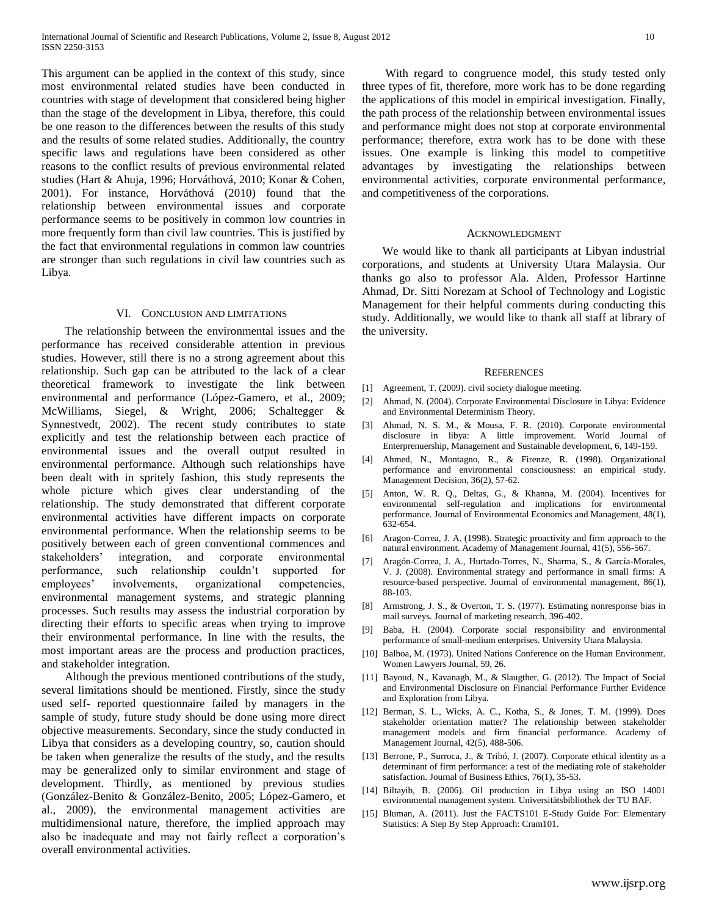This argument can be applied in the context of this study, since most environmental related studies have been conducted in countries with stage of development that considered being higher than the stage of the development in Libya, therefore, this could be one reason to the differences between the results of this study and the results of some related studies. Additionally, the country specific laws and regulations have been considered as other reasons to the conflict results of previous environmental related studies (Hart & Ahuja, 1996; Horváthová, 2010; Konar & Cohen, 2001). For instance, Horváthová (2010) found that the relationship between environmental issues and corporate performance seems to be positively in common low countries in more frequently form than civil law countries. This is justified by the fact that environmental regulations in common law countries are stronger than such regulations in civil law countries such as Libya.

#### VI. CONCLUSION AND LIMITATIONS

The relationship between the environmental issues and the performance has received considerable attention in previous studies. However, still there is no a strong agreement about this relationship. Such gap can be attributed to the lack of a clear theoretical framework to investigate the link between environmental and performance (López-Gamero, et al., 2009; McWilliams, Siegel, & Wright, 2006; Schaltegger & Synnestvedt, 2002). The recent study contributes to state explicitly and test the relationship between each practice of environmental issues and the overall output resulted in environmental performance. Although such relationships have been dealt with in spritely fashion, this study represents the whole picture which gives clear understanding of the relationship. The study demonstrated that different corporate environmental activities have different impacts on corporate environmental performance. When the relationship seems to be positively between each of green conventional commences and stakeholders' integration, and corporate environmental performance, such relationship couldn't supported for employees' involvements, organizational competencies, environmental management systems, and strategic planning processes. Such results may assess the industrial corporation by directing their efforts to specific areas when trying to improve their environmental performance. In line with the results, the most important areas are the process and production practices, and stakeholder integration.

Although the previous mentioned contributions of the study, several limitations should be mentioned. Firstly, since the study used self- reported questionnaire failed by managers in the sample of study, future study should be done using more direct objective measurements. Secondary, since the study conducted in Libya that considers as a developing country, so, caution should be taken when generalize the results of the study, and the results may be generalized only to similar environment and stage of development. Thirdly, as mentioned by previous studies (González-Benito & González-Benito, 2005; López-Gamero, et al., 2009), the environmental management activities are multidimensional nature, therefore, the implied approach may also be inadequate and may not fairly reflect a corporation's overall environmental activities.

With regard to congruence model, this study tested only three types of fit, therefore, more work has to be done regarding the applications of this model in empirical investigation. Finally, the path process of the relationship between environmental issues and performance might does not stop at corporate environmental performance; therefore, extra work has to be done with these issues. One example is linking this model to competitive advantages by investigating the relationships between environmental activities, corporate environmental performance, and competitiveness of the corporations.

#### ACKNOWLEDGMENT

 We would like to thank all participants at Libyan industrial corporations, and students at University Utara Malaysia. Our thanks go also to professor Ala. Alden, Professor Hartinne Ahmad, Dr. Sitti Norezam at School of Technology and Logistic Management for their helpful comments during conducting this study. Additionally, we would like to thank all staff at library of the university.

#### **REFERENCES**

- [1] Agreement, T. (2009). civil society dialogue meeting.
- [2] Ahmad, N. (2004). Corporate Environmental Disclosure in Libya: Evidence and Environmental Determinism Theory.
- [3] Ahmad, N. S. M., & Mousa, F. R. (2010). Corporate environmental disclosure in libya: A little improvement. World Journal of Enterprenuership, Management and Sustainable development, 6, 149-159.
- [4] Ahmed, N., Montagno, R., & Firenze, R. (1998). Organizational performance and environmental consciousness: an empirical study. Management Decision, 36(2), 57-62.
- [5] Anton, W. R. Q., Deltas, G., & Khanna, M. (2004). Incentives for environmental self-regulation and implications for environmental performance. Journal of Environmental Economics and Management, 48(1), 632-654.
- [6] Aragon-Correa, J. A. (1998). Strategic proactivity and firm approach to the natural environment. Academy of Management Journal, 41(5), 556-567.
- [7] Aragón-Correa, J. A., Hurtado-Torres, N., Sharma, S., & García-Morales, V. J. (2008). Environmental strategy and performance in small firms: A resource-based perspective. Journal of environmental management, 86(1), 88-103.
- [8] Armstrong, J. S., & Overton, T. S. (1977). Estimating nonresponse bias in mail surveys. Journal of marketing research, 396-402.
- [9] Baba, H. (2004). Corporate social responsibility and environmental performance of small-medium enterprises. University Utara Malaysia.
- [10] Balboa, M. (1973). United Nations Conference on the Human Environment. Women Lawyers Journal, 59, 26.
- [11] Bayoud, N., Kavanagh, M., & Slaugther, G. (2012). The Impact of Social and Environmental Disclosure on Financial Performance Further Evidence and Exploration from Libya.
- [12] Berman, S. L., Wicks, A. C., Kotha, S., & Jones, T. M. (1999). Does stakeholder orientation matter? The relationship between stakeholder management models and firm financial performance. Academy of Management Journal, 42(5), 488-506.
- [13] Berrone, P., Surroca, J., & Tribó, J. (2007). Corporate ethical identity as a determinant of firm performance: a test of the mediating role of stakeholder satisfaction. Journal of Business Ethics, 76(1), 35-53.
- [14] Biltayib, B. (2006). Oil production in Libya using an ISO 14001 environmental management system. Universitätsbibliothek der TU BAF.
- [15] Bluman, A. (2011). Just the FACTS101 E-Study Guide For: Elementary Statistics: A Step By Step Approach: Cram101.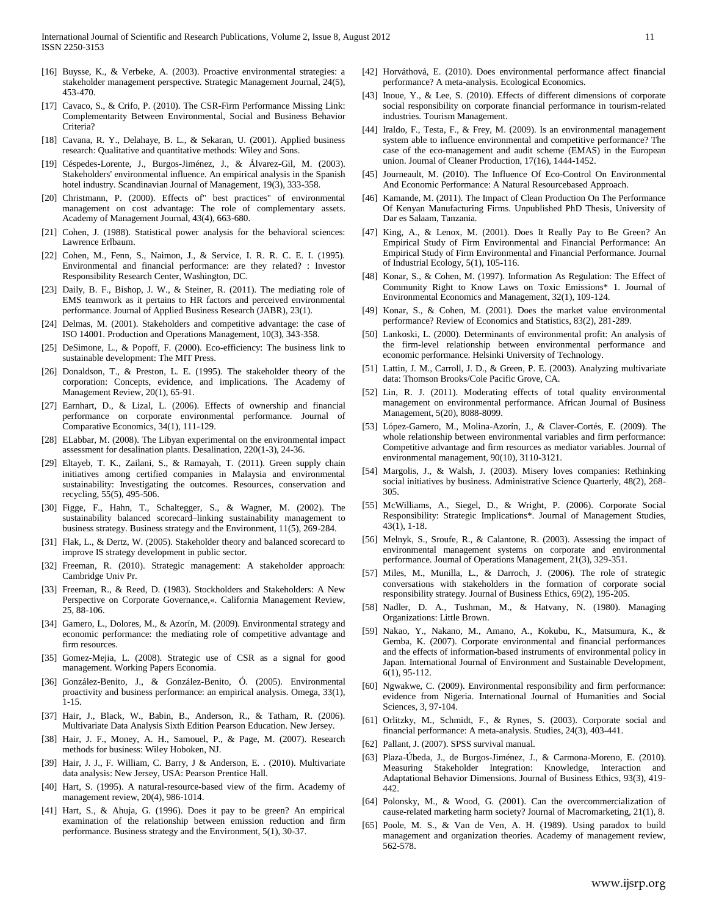- [16] Buysse, K., & Verbeke, A. (2003). Proactive environmental strategies: a stakeholder management perspective. Strategic Management Journal, 24(5), 453-470.
- [17] Cavaco, S., & Crifo, P. (2010). The CSR-Firm Performance Missing Link: Complementarity Between Environmental, Social and Business Behavior Criteria?
- [18] Cavana, R. Y., Delahaye, B. L., & Sekaran, U. (2001). Applied business research: Qualitative and quantitative methods: Wiley and Sons.
- [19] Céspedes-Lorente, J., Burgos-Jiménez, J., & Álvarez-Gil, M. (2003). Stakeholders' environmental influence. An empirical analysis in the Spanish hotel industry. Scandinavian Journal of Management, 19(3), 333-358.
- [20] Christmann, P. (2000). Effects of" best practices" of environmental management on cost advantage: The role of complementary assets. Academy of Management Journal, 43(4), 663-680.
- [21] Cohen, J. (1988). Statistical power analysis for the behavioral sciences: Lawrence Erlbaum.
- [22] Cohen, M., Fenn, S., Naimon, J., & Service, I. R. R. C. E. I. (1995). Environmental and financial performance: are they related? : Investor Responsibility Research Center, Washington, DC.
- [23] Daily, B. F., Bishop, J. W., & Steiner, R. (2011). The mediating role of EMS teamwork as it pertains to HR factors and perceived environmental performance. Journal of Applied Business Research (JABR), 23(1).
- [24] Delmas, M. (2001). Stakeholders and competitive advantage: the case of ISO 14001. Production and Operations Management, 10(3), 343-358.
- [25] DeSimone, L., & Popoff, F. (2000). Eco-efficiency: The business link to sustainable development: The MIT Press.
- [26] Donaldson, T., & Preston, L. E. (1995). The stakeholder theory of the corporation: Concepts, evidence, and implications. The Academy of Management Review, 20(1), 65-91.
- [27] Earnhart, D., & Lizal, L. (2006). Effects of ownership and financial performance on corporate environmental performance. Journal of Comparative Economics, 34(1), 111-129.
- [28] ELabbar, M. (2008). The Libyan experimental on the environmental impact assessment for desalination plants. Desalination, 220(1-3), 24-36.
- [29] Eltayeb, T. K., Zailani, S., & Ramayah, T. (2011). Green supply chain initiatives among certified companies in Malaysia and environmental sustainability: Investigating the outcomes. Resources, conservation and recycling, 55(5), 495-506.
- [30] Figge, F., Hahn, T., Schaltegger, S., & Wagner, M. (2002). The sustainability balanced scorecard–linking sustainability management to business strategy. Business strategy and the Environment, 11(5), 269-284.
- [31] Flak, L., & Dertz, W. (2005). Stakeholder theory and balanced scorecard to improve IS strategy development in public sector.
- [32] Freeman, R. (2010). Strategic management: A stakeholder approach: Cambridge Univ Pr.
- [33] Freeman, R., & Reed, D. (1983). Stockholders and Stakeholders: A New Perspective on Corporate Governance,«. California Management Review, 25, 88-106.
- [34] Gamero, L., Dolores, M., & Azorín, M. (2009). Environmental strategy and economic performance: the mediating role of competitive advantage and firm resources.
- [35] Gomez-Mejia, L. (2008). Strategic use of CSR as a signal for good management. Working Papers Economia.
- [36] González-Benito, J., & González-Benito, Ó. (2005). Environmental proactivity and business performance: an empirical analysis. Omega, 33(1), 1-15.
- [37] Hair, J., Black, W., Babin, B., Anderson, R., & Tatham, R. (2006). Multivariate Data Analysis Sixth Edition Pearson Education. New Jersey.
- [38] Hair, J. F., Money, A. H., Samouel, P., & Page, M. (2007). Research methods for business: Wiley Hoboken, NJ.
- [39] Hair, J. J., F. William, C. Barry, J & Anderson, E. . (2010). Multivariate data analysis: New Jersey, USA: Pearson Prentice Hall.
- [40] Hart, S. (1995). A natural-resource-based view of the firm. Academy of management review, 20(4), 986-1014.
- [41] Hart, S., & Ahuja, G. (1996). Does it pay to be green? An empirical examination of the relationship between emission reduction and firm performance. Business strategy and the Environment, 5(1), 30-37.
- [42] Horváthová, E. (2010). Does environmental performance affect financial performance? A meta-analysis. Ecological Economics.
- [43] Inoue, Y., & Lee, S. (2010). Effects of different dimensions of corporate social responsibility on corporate financial performance in tourism-related industries. Tourism Management.
- [44] Iraldo, F., Testa, F., & Frey, M. (2009). Is an environmental management system able to influence environmental and competitive performance? The case of the eco-management and audit scheme (EMAS) in the European union. Journal of Cleaner Production, 17(16), 1444-1452.
- [45] Journeault, M. (2010). The Influence Of Eco-Control On Environmental And Economic Performance: A Natural Resourcebased Approach.
- [46] Kamande, M. (2011). The Impact of Clean Production On The Performance Of Kenyan Manufacturing Firms. Unpublished PhD Thesis, University of Dar es Salaam, Tanzania.
- [47] King, A., & Lenox, M. (2001). Does It Really Pay to Be Green? An Empirical Study of Firm Environmental and Financial Performance: An Empirical Study of Firm Environmental and Financial Performance. Journal of Industrial Ecology, 5(1), 105-116.
- [48] Konar, S., & Cohen, M. (1997). Information As Regulation: The Effect of Community Right to Know Laws on Toxic Emissions\* 1. Journal of Environmental Economics and Management, 32(1), 109-124.
- [49] Konar, S., & Cohen, M. (2001). Does the market value environmental performance? Review of Economics and Statistics, 83(2), 281-289.
- [50] Lankoski, L. (2000). Determinants of environmental profit: An analysis of the firm-level relationship between environmental performance and economic performance. Helsinki University of Technology.
- [51] Lattin, J. M., Carroll, J. D., & Green, P. E. (2003). Analyzing multivariate data: Thomson Brooks/Cole Pacific Grove, CA.
- [52] Lin, R. J. (2011). Moderating effects of total quality environmental management on environmental performance. African Journal of Business Management, 5(20), 8088-8099.
- [53] López-Gamero, M., Molina-Azorín, J., & Claver-Cortés, E. (2009). The whole relationship between environmental variables and firm performance: Competitive advantage and firm resources as mediator variables. Journal of environmental management, 90(10), 3110-3121.
- [54] Margolis, J., & Walsh, J. (2003). Misery loves companies: Rethinking social initiatives by business. Administrative Science Quarterly, 48(2), 268- 305.
- [55] McWilliams, A., Siegel, D., & Wright, P. (2006). Corporate Social Responsibility: Strategic Implications\*. Journal of Management Studies, 43(1), 1-18.
- [56] Melnyk, S., Sroufe, R., & Calantone, R. (2003). Assessing the impact of environmental management systems on corporate and environmental performance. Journal of Operations Management, 21(3), 329-351.
- [57] Miles, M., Munilla, L., & Darroch, J. (2006). The role of strategic conversations with stakeholders in the formation of corporate social responsibility strategy. Journal of Business Ethics, 69(2), 195-205.
- [58] Nadler, D. A., Tushman, M., & Hatvany, N. (1980). Managing Organizations: Little Brown.
- [59] Nakao, Y., Nakano, M., Amano, A., Kokubu, K., Matsumura, K., & Gemba, K. (2007). Corporate environmental and financial performances and the effects of information-based instruments of environmental policy in Japan. International Journal of Environment and Sustainable Development, 6(1), 95-112.
- [60] Ngwakwe, C. (2009). Environmental responsibility and firm performance: evidence from Nigeria. International Journal of Humanities and Social Sciences, 3, 97-104.
- [61] Orlitzky, M., Schmidt, F., & Rynes, S. (2003). Corporate social and financial performance: A meta-analysis. Studies, 24(3), 403-441.
- [62] Pallant, J. (2007). SPSS survival manual.
- [63] Plaza-Úbeda, J., de Burgos-Jiménez, J., & Carmona-Moreno, E. (2010). Measuring Stakeholder Integration: Knowledge, Interaction and Adaptational Behavior Dimensions. Journal of Business Ethics, 93(3), 419- 442.
- [64] Polonsky, M., & Wood, G. (2001). Can the overcommercialization of cause-related marketing harm society? Journal of Macromarketing, 21(1), 8.
- [65] Poole, M. S., & Van de Ven, A. H. (1989). Using paradox to build management and organization theories. Academy of management review, 562-578.